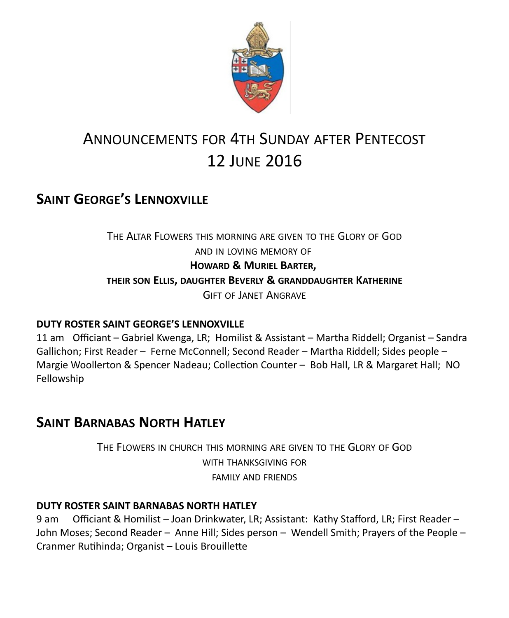

# ANNOUNCEMENTS FOR 4TH SUNDAY AFTER PENTECOST 12 JUNE 2016

### **SAINT GEORGE'S LENNOXVILLE**

THE ALTAR FLOWERS THIS MORNING ARE GIVEN TO THE GLORY OF GOD AND IN LOVING MEMORY OF **HOWARD & MURIEL BARTER, THEIR SON ELLIS, DAUGHTER BEVERLY & GRANDDAUGHTER KATHERINE** GIFT OF JANET ANGRAVE

#### **DUTY ROSTER SAINT GEORGE'S LENNOXVILLE**

11 am Officiant – Gabriel Kwenga, LR; Homilist & Assistant – Martha Riddell; Organist – Sandra Gallichon; First Reader – Ferne McConnell; Second Reader – Martha Riddell; Sides people – Margie Woollerton & Spencer Nadeau; Collection Counter – Bob Hall, LR & Margaret Hall; NO Fellowship

### **SAINT BARNABAS NORTH HATLEY**

THE FLOWERS IN CHURCH THIS MORNING ARE GIVEN TO THE GLORY OF GOD WITH THANKSGIVING FOR FAMILY AND FRIENDS

#### **DUTY ROSTER SAINT BARNABAS NORTH HATLEY**

9 am Officiant & Homilist – Joan Drinkwater, LR; Assistant: Kathy Stafford, LR; First Reader – John Moses; Second Reader – Anne Hill; Sides person – Wendell Smith; Prayers of the People – Cranmer Rutihinda; Organist – Louis Brouillette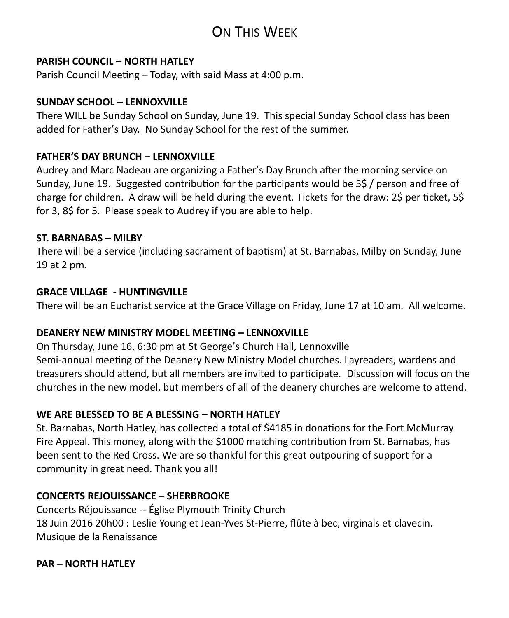## ON THIS WEEK

#### **PARISH COUNCIL – NORTH HATLEY**

Parish Council Meeting – Today, with said Mass at 4:00 p.m.

#### **SUNDAY SCHOOL – LENNOXVILLE**

There WILL be Sunday School on Sunday, June 19. This special Sunday School class has been added for Father's Day. No Sunday School for the rest of the summer.

#### **FATHER'S DAY BRUNCH – LENNOXVILLE**

Audrey and Marc Nadeau are organizing a Father's Day Brunch after the morning service on Sunday, June 19. Suggested contribution for the participants would be 5\$ / person and free of charge for children. A draw will be held during the event. Tickets for the draw: 2\$ per ticket, 5\$ for 3, 8\$ for 5. Please speak to Audrey if you are able to help.

#### **ST. BARNABAS – MILBY**

There will be a service (including sacrament of baptism) at St. Barnabas, Milby on Sunday, June 19 at 2 pm.

#### **GRACE VILLAGE - HUNTINGVILLE**

There will be an Eucharist service at the Grace Village on Friday, June 17 at 10 am. All welcome.

#### **DEANERY NEW MINISTRY MODEL MEETING – LENNOXVILLE**

On Thursday, June 16, 6:30 pm at St George's Church Hall, Lennoxville Semi-annual meeting of the Deanery New Ministry Model churches. Layreaders, wardens and treasurers should attend, but all members are invited to participate. Discussion will focus on the churches in the new model, but members of all of the deanery churches are welcome to attend.

#### **WE ARE BLESSED TO BE A BLESSING – NORTH HATLEY**

St. Barnabas, North Hatley, has collected a total of \$4185 in donations for the Fort McMurray Fire Appeal. This money, along with the \$1000 matching contribution from St. Barnabas, has been sent to the Red Cross. We are so thankful for this great outpouring of support for a community in great need. Thank you all!

#### **CONCERTS REJOUISSANCE – SHERBROOKE**

Concerts Réjouissance -- Église Plymouth Trinity Church 18 Juin 2016 20h00 : Leslie Young et Jean-Yves St-Pierre, flûte à bec, virginals et clavecin. Musique de la Renaissance

#### **PAR – NORTH HATLEY**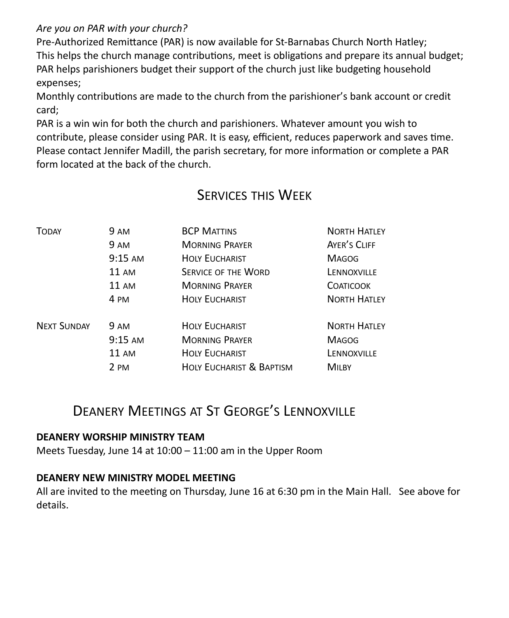*Are you on PAR with your church?*

Pre-Authorized Remittance (PAR) is now available for St-Barnabas Church North Hatley; This helps the church manage contributions, meet is obligations and prepare its annual budget; PAR helps parishioners budget their support of the church just like budgeting household expenses;

Monthly contributions are made to the church from the parishioner's bank account or credit card;

PAR is a win win for both the church and parishioners. Whatever amount you wish to contribute, please consider using PAR. It is easy, efficient, reduces paperwork and saves time. Please contact Jennifer Madill, the parish secretary, for more information or complete a PAR form located at the back of the church.

### SERVICES THIS WEEK

| TODAY              | 9 AM        | <b>BCP MATTINS</b>                  | <b>NORTH HATLEY</b> |
|--------------------|-------------|-------------------------------------|---------------------|
|                    | 9 AM        | <b>MORNING PRAYER</b>               | AYER'S CLIFF        |
|                    | $9:15$ AM   | <b>HOLY EUCHARIST</b>               | <b>MAGOG</b>        |
|                    | 11 AM       | <b>SERVICE OF THE WORD</b>          | LENNOXVILLE         |
|                    | 11 AM       | <b>MORNING PRAYER</b>               | <b>COATICOOK</b>    |
|                    | 4 PM        | <b>HOLY EUCHARIST</b>               | <b>NORTH HATLEY</b> |
| <b>NEXT SUNDAY</b> | <b>9 AM</b> | <b>HOLY EUCHARIST</b>               | <b>NORTH HATLEY</b> |
|                    | $9:15$ AM   | <b>MORNING PRAYER</b>               | <b>MAGOG</b>        |
|                    | 11 AM       | <b>HOLY EUCHARIST</b>               | LENNOXVILLE         |
|                    | 2 PM        | <b>HOLY EUCHARIST &amp; BAPTISM</b> | <b>MILBY</b>        |

### DEANERY MEETINGS AT ST GEORGE'S LENNOXVILLE

#### **DEANERY WORSHIP MINISTRY TEAM**

Meets Tuesday, June 14 at 10:00 – 11:00 am in the Upper Room

#### **DEANERY NEW MINISTRY MODEL MEETING**

All are invited to the meeting on Thursday, June 16 at 6:30 pm in the Main Hall. See above for details.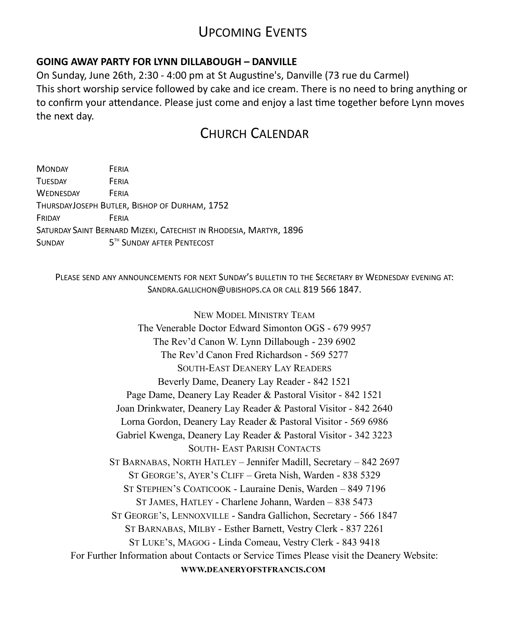### UPCOMING EVENTS

#### **GOING AWAY PARTY FOR LYNN DILLABOUGH – DANVILLE**

On Sunday, June 26th, 2:30 - 4:00 pm at St Augustine's, Danville (73 rue du Carmel) This short worship service followed by cake and ice cream. There is no need to bring anything or to confirm your attendance. Please just come and enjoy a last time together before Lynn moves the next day.

### CHURCH CALENDAR

| <b>MONDAY</b>    | FERIA |                                                                    |
|------------------|-------|--------------------------------------------------------------------|
| <b>TUESDAY</b>   | FFRIA |                                                                    |
| <b>WEDNESDAY</b> | FFRIA |                                                                    |
|                  |       | THURSDAYJOSEPH BUTLER, BISHOP OF DURHAM, 1752                      |
| FRIDAY           | FFRIA |                                                                    |
|                  |       | SATURDAY SAINT BERNARD MIZEKI, CATECHIST IN RHODESIA, MARTYR, 1896 |
| <b>SUNDAY</b>    |       | 5TH SUNDAY AFTER PENTECOST                                         |

PLEASE SEND ANY ANNOUNCEMENTS FOR NEXT SUNDAY'S BULLETIN TO THE SECRETARY BY WEDNESDAY EVENING AT: SANDRA.GALLICHON@UBISHOPS.CA OR CALL 819 566 1847.

NEW MODEL MINISTRY TEAM The Venerable Doctor Edward Simonton OGS - 679 9957 The Rev'd Canon W. Lynn Dillabough - 239 6902 The Rev'd Canon Fred Richardson - 569 5277 SOUTH-EAST DEANERY LAY READERS Beverly Dame, Deanery Lay Reader - 842 1521 Page Dame, Deanery Lay Reader & Pastoral Visitor - 842 1521 Joan Drinkwater, Deanery Lay Reader & Pastoral Visitor - 842 2640 Lorna Gordon, Deanery Lay Reader & Pastoral Visitor - 569 6986 Gabriel Kwenga, Deanery Lay Reader & Pastoral Visitor - 342 3223 SOUTH- EAST PARISH CONTACTS ST BARNABAS, NORTH HATLEY – Jennifer Madill, Secretary – 842 2697 ST GEORGE'S, AYER'S CLIFF – Greta Nish, Warden - 838 5329 ST STEPHEN'S COATICOOK - Lauraine Denis, Warden – 849 7196 ST JAMES, HATLEY - Charlene Johann, Warden – 838 5473 ST GEORGE'S, LENNOXVILLE - Sandra Gallichon, Secretary - 566 1847 ST BARNABAS, MILBY - Esther Barnett, Vestry Clerk - 837 2261 ST LUKE'S, MAGOG - Linda Comeau, Vestry Clerk - 843 9418 For Further Information about Contacts or Service Times Please visit the Deanery Website: **WWW.DEANERYOFSTFRANCIS.COM**